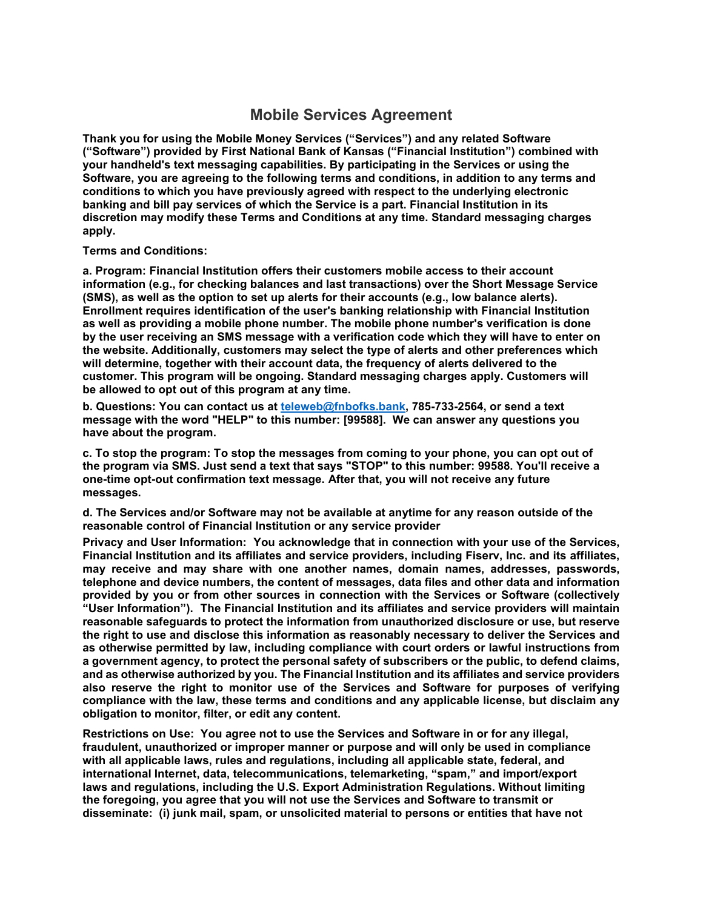# **Mobile Services Agreement**

**Thank you for using the Mobile Money Services ("Services") and any related Software ("Software") provided by First National Bank of Kansas ("Financial Institution") combined with your handheld's text messaging capabilities. By participating in the Services or using the Software, you are agreeing to the following terms and conditions, in addition to any terms and conditions to which you have previously agreed with respect to the underlying electronic banking and bill pay services of which the Service is a part. Financial Institution in its discretion may modify these Terms and Conditions at any time. Standard messaging charges apply.**

#### **Terms and Conditions:**

**a. Program: Financial Institution offers their customers mobile access to their account information (e.g., for checking balances and last transactions) over the Short Message Service (SMS), as well as the option to set up alerts for their accounts (e.g., low balance alerts). Enrollment requires identification of the user's banking relationship with Financial Institution as well as providing a mobile phone number. The mobile phone number's verification is done by the user receiving an SMS message with a verification code which they will have to enter on the website. Additionally, customers may select the type of alerts and other preferences which will determine, together with their account data, the frequency of alerts delivered to the customer. This program will be ongoing. Standard messaging charges apply. Customers will be allowed to opt out of this program at any time.** 

**b. Questions: You can contact us at [teleweb@fnbofks.bank,](mailto:teleweb@fnbofks.bank) 785-733-2564, or send a text message with the word "HELP" to this number: [99588]. We can answer any questions you have about the program.** 

**c. To stop the program: To stop the messages from coming to your phone, you can opt out of the program via SMS. Just send a text that says "STOP" to this number: 99588. You'll receive a one-time opt-out confirmation text message. After that, you will not receive any future messages.**

**d. The Services and/or Software may not be available at anytime for any reason outside of the reasonable control of Financial Institution or any service provider**

**Privacy and User Information: You acknowledge that in connection with your use of the Services, Financial Institution and its affiliates and service providers, including Fiserv, Inc. and its affiliates, may receive and may share with one another names, domain names, addresses, passwords, telephone and device numbers, the content of messages, data files and other data and information provided by you or from other sources in connection with the Services or Software (collectively "User Information"). The Financial Institution and its affiliates and service providers will maintain reasonable safeguards to protect the information from unauthorized disclosure or use, but reserve the right to use and disclose this information as reasonably necessary to deliver the Services and as otherwise permitted by law, including compliance with court orders or lawful instructions from a government agency, to protect the personal safety of subscribers or the public, to defend claims, and as otherwise authorized by you. The Financial Institution and its affiliates and service providers also reserve the right to monitor use of the Services and Software for purposes of verifying compliance with the law, these terms and conditions and any applicable license, but disclaim any obligation to monitor, filter, or edit any content.** 

**Restrictions on Use: You agree not to use the Services and Software in or for any illegal, fraudulent, unauthorized or improper manner or purpose and will only be used in compliance with all applicable laws, rules and regulations, including all applicable state, federal, and international Internet, data, telecommunications, telemarketing, "spam," and import/export laws and regulations, including the U.S. Export Administration Regulations. Without limiting the foregoing, you agree that you will not use the Services and Software to transmit or disseminate: (i) junk mail, spam, or unsolicited material to persons or entities that have not**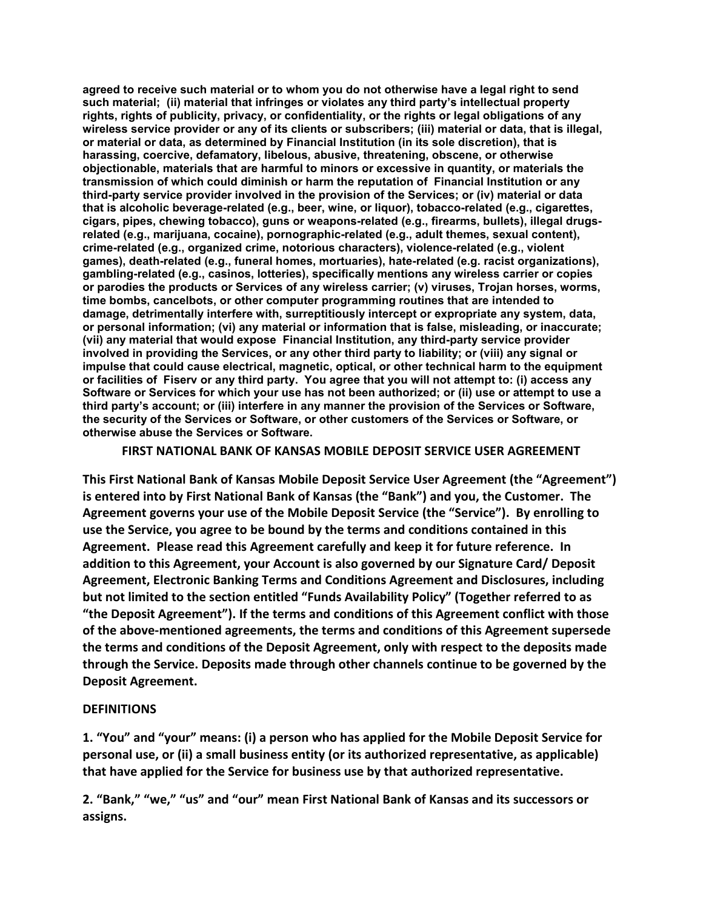**agreed to receive such material or to whom you do not otherwise have a legal right to send such material; (ii) material that infringes or violates any third party's intellectual property rights, rights of publicity, privacy, or confidentiality, or the rights or legal obligations of any wireless service provider or any of its clients or subscribers; (iii) material or data, that is illegal, or material or data, as determined by Financial Institution (in its sole discretion), that is harassing, coercive, defamatory, libelous, abusive, threatening, obscene, or otherwise objectionable, materials that are harmful to minors or excessive in quantity, or materials the transmission of which could diminish or harm the reputation of Financial Institution or any third-party service provider involved in the provision of the Services; or (iv) material or data that is alcoholic beverage-related (e.g., beer, wine, or liquor), tobacco-related (e.g., cigarettes, cigars, pipes, chewing tobacco), guns or weapons-related (e.g., firearms, bullets), illegal drugsrelated (e.g., marijuana, cocaine), pornographic-related (e.g., adult themes, sexual content), crime-related (e.g., organized crime, notorious characters), violence-related (e.g., violent games), death-related (e.g., funeral homes, mortuaries), hate-related (e.g. racist organizations), gambling-related (e.g., casinos, lotteries), specifically mentions any wireless carrier or copies or parodies the products or Services of any wireless carrier; (v) viruses, Trojan horses, worms, time bombs, cancelbots, or other computer programming routines that are intended to damage, detrimentally interfere with, surreptitiously intercept or expropriate any system, data, or personal information; (vi) any material or information that is false, misleading, or inaccurate; (vii) any material that would expose Financial Institution, any third-party service provider involved in providing the Services, or any other third party to liability; or (viii) any signal or impulse that could cause electrical, magnetic, optical, or other technical harm to the equipment or facilities of Fiserv or any third party. You agree that you will not attempt to: (i) access any Software or Services for which your use has not been authorized; or (ii) use or attempt to use a third party's account; or (iii) interfere in any manner the provision of the Services or Software, the security of the Services or Software, or other customers of the Services or Software, or otherwise abuse the Services or Software.**

**FIRST NATIONAL BANK OF KANSAS MOBILE DEPOSIT SERVICE USER AGREEMENT** 

**This First National Bank of Kansas Mobile Deposit Service User Agreement (the "Agreement") is entered into by First National Bank of Kansas (the "Bank") and you, the Customer. The Agreement governs your use of the Mobile Deposit Service (the "Service"). By enrolling to use the Service, you agree to be bound by the terms and conditions contained in this Agreement. Please read this Agreement carefully and keep it for future reference. In addition to this Agreement, your Account is also governed by our Signature Card/ Deposit Agreement, Electronic Banking Terms and Conditions Agreement and Disclosures, including but not limited to the section entitled "Funds Availability Policy" (Together referred to as "the Deposit Agreement"). If the terms and conditions of this Agreement conflict with those of the above-mentioned agreements, the terms and conditions of this Agreement supersede the terms and conditions of the Deposit Agreement, only with respect to the deposits made through the Service. Deposits made through other channels continue to be governed by the Deposit Agreement.** 

#### **DEFINITIONS**

**1. "You" and "your" means: (i) a person who has applied for the Mobile Deposit Service for personal use, or (ii) a small business entity (or its authorized representative, as applicable) that have applied for the Service for business use by that authorized representative.** 

**2. "Bank," "we," "us" and "our" mean First National Bank of Kansas and its successors or assigns.**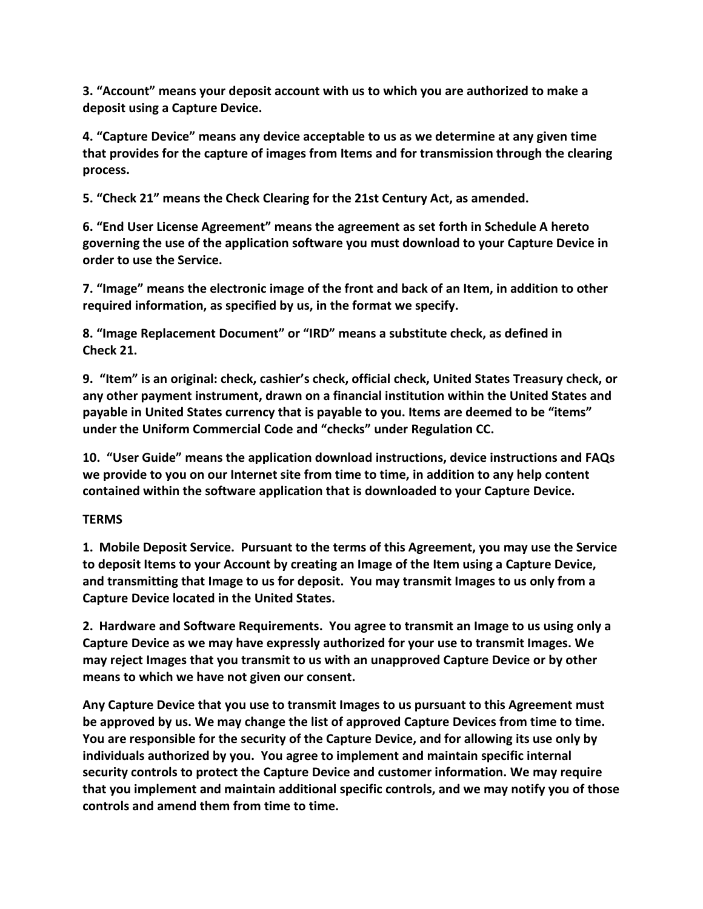**3. "Account" means your deposit account with us to which you are authorized to make a deposit using a Capture Device.** 

**4. "Capture Device" means any device acceptable to us as we determine at any given time that provides for the capture of images from Items and for transmission through the clearing process.** 

**5. "Check 21" means the Check Clearing for the 21st Century Act, as amended.** 

**6. "End User License Agreement" means the agreement as set forth in Schedule A hereto governing the use of the application software you must download to your Capture Device in order to use the Service.** 

**7. "Image" means the electronic image of the front and back of an Item, in addition to other required information, as specified by us, in the format we specify.** 

**8. "Image Replacement Document" or "IRD" means a substitute check, as defined in Check 21.** 

**9. "Item" is an original: check, cashier's check, official check, United States Treasury check, or any other payment instrument, drawn on a financial institution within the United States and payable in United States currency that is payable to you. Items are deemed to be "items" under the Uniform Commercial Code and "checks" under Regulation CC.** 

**10. "User Guide" means the application download instructions, device instructions and FAQs we provide to you on our Internet site from time to time, in addition to any help content contained within the software application that is downloaded to your Capture Device.** 

# **TERMS**

**1. Mobile Deposit Service. Pursuant to the terms of this Agreement, you may use the Service to deposit Items to your Account by creating an Image of the Item using a Capture Device, and transmitting that Image to us for deposit. You may transmit Images to us only from a Capture Device located in the United States.**

**2. Hardware and Software Requirements. You agree to transmit an Image to us using only a Capture Device as we may have expressly authorized for your use to transmit Images. We may reject Images that you transmit to us with an unapproved Capture Device or by other means to which we have not given our consent.** 

**Any Capture Device that you use to transmit Images to us pursuant to this Agreement must be approved by us. We may change the list of approved Capture Devices from time to time. You are responsible for the security of the Capture Device, and for allowing its use only by individuals authorized by you. You agree to implement and maintain specific internal security controls to protect the Capture Device and customer information. We may require that you implement and maintain additional specific controls, and we may notify you of those controls and amend them from time to time.**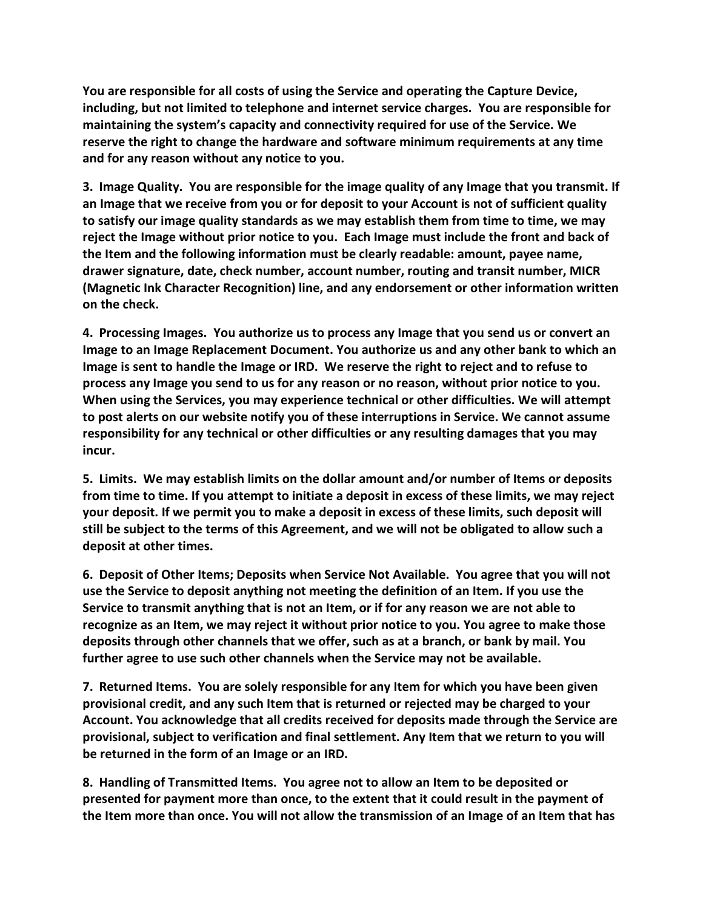**You are responsible for all costs of using the Service and operating the Capture Device, including, but not limited to telephone and internet service charges. You are responsible for maintaining the system's capacity and connectivity required for use of the Service. We reserve the right to change the hardware and software minimum requirements at any time and for any reason without any notice to you.** 

**3. Image Quality. You are responsible for the image quality of any Image that you transmit. If an Image that we receive from you or for deposit to your Account is not of sufficient quality to satisfy our image quality standards as we may establish them from time to time, we may reject the Image without prior notice to you. Each Image must include the front and back of the Item and the following information must be clearly readable: amount, payee name, drawer signature, date, check number, account number, routing and transit number, MICR (Magnetic Ink Character Recognition) line, and any endorsement or other information written on the check.** 

**4. Processing Images. You authorize us to process any Image that you send us or convert an Image to an Image Replacement Document. You authorize us and any other bank to which an Image is sent to handle the Image or IRD. We reserve the right to reject and to refuse to process any Image you send to us for any reason or no reason, without prior notice to you. When using the Services, you may experience technical or other difficulties. We will attempt to post alerts on our website notify you of these interruptions in Service. We cannot assume responsibility for any technical or other difficulties or any resulting damages that you may incur.** 

**5. Limits. We may establish limits on the dollar amount and/or number of Items or deposits from time to time. If you attempt to initiate a deposit in excess of these limits, we may reject your deposit. If we permit you to make a deposit in excess of these limits, such deposit will still be subject to the terms of this Agreement, and we will not be obligated to allow such a deposit at other times.** 

**6. Deposit of Other Items; Deposits when Service Not Available. You agree that you will not use the Service to deposit anything not meeting the definition of an Item. If you use the Service to transmit anything that is not an Item, or if for any reason we are not able to recognize as an Item, we may reject it without prior notice to you. You agree to make those deposits through other channels that we offer, such as at a branch, or bank by mail. You further agree to use such other channels when the Service may not be available.** 

**7. Returned Items. You are solely responsible for any Item for which you have been given provisional credit, and any such Item that is returned or rejected may be charged to your Account. You acknowledge that all credits received for deposits made through the Service are provisional, subject to verification and final settlement. Any Item that we return to you will be returned in the form of an Image or an IRD.** 

**8. Handling of Transmitted Items. You agree not to allow an Item to be deposited or presented for payment more than once, to the extent that it could result in the payment of the Item more than once. You will not allow the transmission of an Image of an Item that has**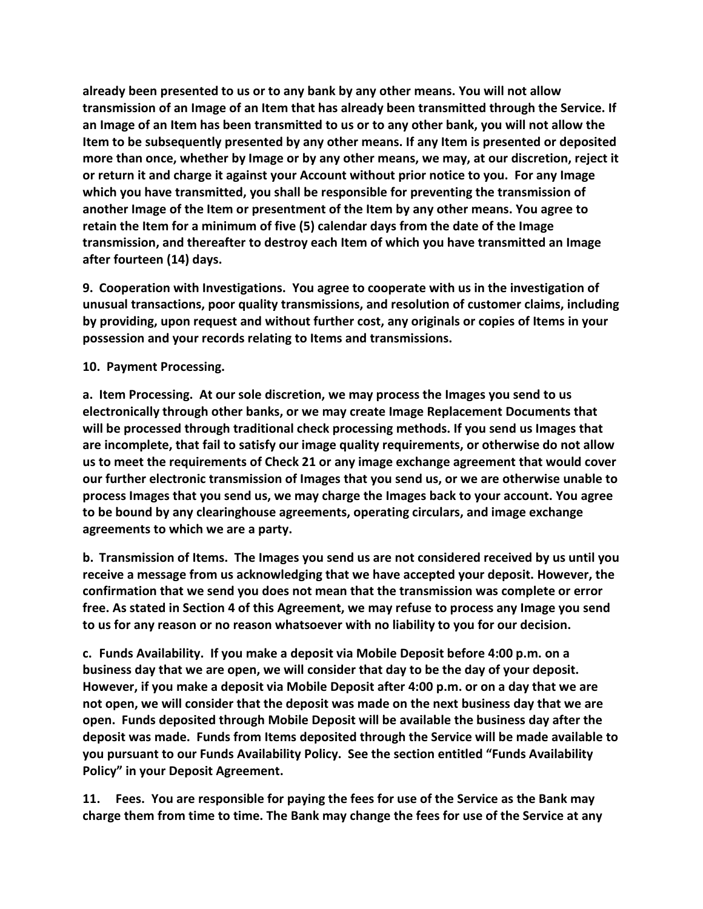**already been presented to us or to any bank by any other means. You will not allow transmission of an Image of an Item that has already been transmitted through the Service. If an Image of an Item has been transmitted to us or to any other bank, you will not allow the Item to be subsequently presented by any other means. If any Item is presented or deposited more than once, whether by Image or by any other means, we may, at our discretion, reject it or return it and charge it against your Account without prior notice to you. For any Image which you have transmitted, you shall be responsible for preventing the transmission of another Image of the Item or presentment of the Item by any other means. You agree to retain the Item for a minimum of five (5) calendar days from the date of the Image transmission, and thereafter to destroy each Item of which you have transmitted an Image after fourteen (14) days.** 

**9. Cooperation with Investigations. You agree to cooperate with us in the investigation of unusual transactions, poor quality transmissions, and resolution of customer claims, including by providing, upon request and without further cost, any originals or copies of Items in your possession and your records relating to Items and transmissions.** 

**10. Payment Processing.**

**a. Item Processing. At our sole discretion, we may process the Images you send to us electronically through other banks, or we may create Image Replacement Documents that will be processed through traditional check processing methods. If you send us Images that are incomplete, that fail to satisfy our image quality requirements, or otherwise do not allow us to meet the requirements of Check 21 or any image exchange agreement that would cover our further electronic transmission of Images that you send us, or we are otherwise unable to process Images that you send us, we may charge the Images back to your account. You agree to be bound by any clearinghouse agreements, operating circulars, and image exchange agreements to which we are a party.** 

**b. Transmission of Items. The Images you send us are not considered received by us until you receive a message from us acknowledging that we have accepted your deposit. However, the confirmation that we send you does not mean that the transmission was complete or error free. As stated in Section 4 of this Agreement, we may refuse to process any Image you send to us for any reason or no reason whatsoever with no liability to you for our decision.** 

**c. Funds Availability. If you make a deposit via Mobile Deposit before 4:00 p.m. on a business day that we are open, we will consider that day to be the day of your deposit. However, if you make a deposit via Mobile Deposit after 4:00 p.m. or on a day that we are not open, we will consider that the deposit was made on the next business day that we are open. Funds deposited through Mobile Deposit will be available the business day after the deposit was made. Funds from Items deposited through the Service will be made available to you pursuant to our Funds Availability Policy. See the section entitled "Funds Availability Policy" in your Deposit Agreement.** 

**11. Fees. You are responsible for paying the fees for use of the Service as the Bank may charge them from time to time. The Bank may change the fees for use of the Service at any**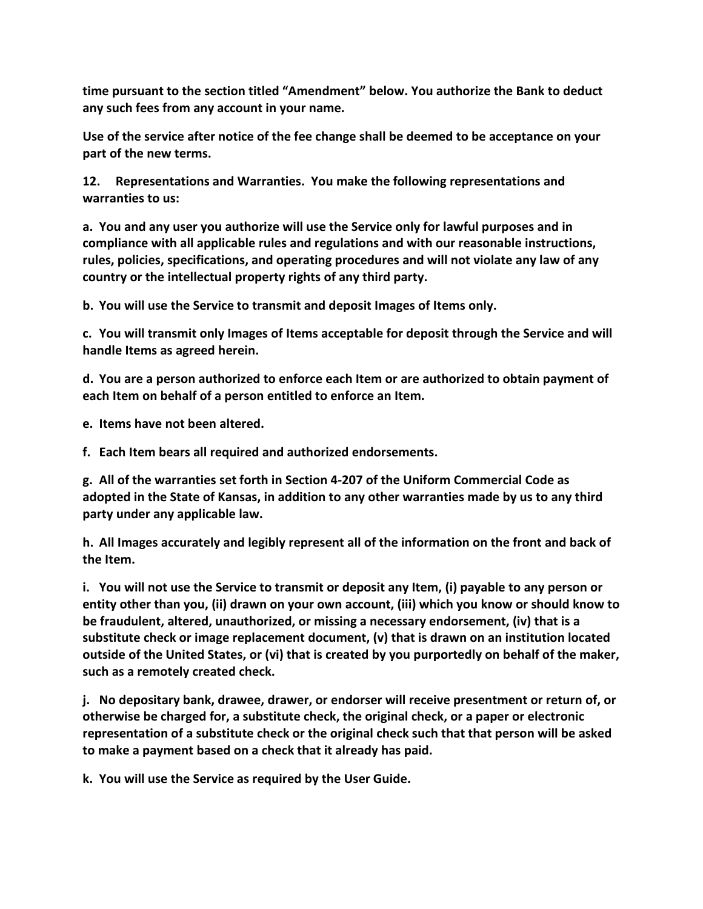**time pursuant to the section titled "Amendment" below. You authorize the Bank to deduct any such fees from any account in your name.** 

**Use of the service after notice of the fee change shall be deemed to be acceptance on your part of the new terms.** 

**12. Representations and Warranties. You make the following representations and warranties to us:** 

**a. You and any user you authorize will use the Service only for lawful purposes and in compliance with all applicable rules and regulations and with our reasonable instructions, rules, policies, specifications, and operating procedures and will not violate any law of any country or the intellectual property rights of any third party.** 

**b. You will use the Service to transmit and deposit Images of Items only.** 

**c. You will transmit only Images of Items acceptable for deposit through the Service and will handle Items as agreed herein.** 

**d. You are a person authorized to enforce each Item or are authorized to obtain payment of each Item on behalf of a person entitled to enforce an Item.** 

**e. Items have not been altered.** 

**f. Each Item bears all required and authorized endorsements.** 

**g. All of the warranties set forth in Section 4-207 of the Uniform Commercial Code as adopted in the State of Kansas, in addition to any other warranties made by us to any third party under any applicable law.** 

**h. All Images accurately and legibly represent all of the information on the front and back of the Item.** 

**i. You will not use the Service to transmit or deposit any Item, (i) payable to any person or entity other than you, (ii) drawn on your own account, (iii) which you know or should know to be fraudulent, altered, unauthorized, or missing a necessary endorsement, (iv) that is a substitute check or image replacement document, (v) that is drawn on an institution located outside of the United States, or (vi) that is created by you purportedly on behalf of the maker, such as a remotely created check.** 

**j. No depositary bank, drawee, drawer, or endorser will receive presentment or return of, or otherwise be charged for, a substitute check, the original check, or a paper or electronic representation of a substitute check or the original check such that that person will be asked to make a payment based on a check that it already has paid.** 

**k. You will use the Service as required by the User Guide.**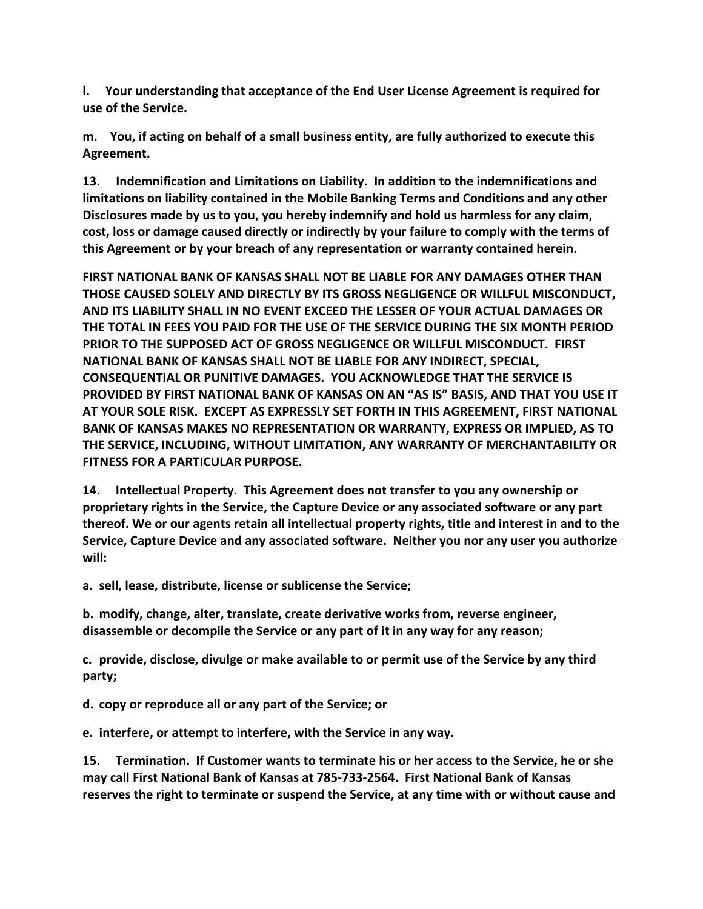**l. Your understanding that acceptance of the End User License Agreement is required for use of the Service.** 

**m. You, if acting on behalf of a small business entity, are fully authorized to execute this Agreement.** 

**13. Indemnification and Limitations on Liability. In addition to the indemnifications and limitations on liability contained in the Mobile Banking Terms and Conditions and any other Disclosures made by us to you, you hereby indemnify and hold us harmless for any claim, cost, loss or damage caused directly or indirectly by your failure to comply with the terms of this Agreement or by your breach of any representation or warranty contained herein.** 

**FIRST NATIONAL BANK OF KANSAS SHALL NOT BE LIABLE FOR ANY DAMAGES OTHER THAN THOSE CAUSED SOLELY AND DIRECTLY BY ITS GROSS NEGLIGENCE OR WILLFUL MISCONDUCT, AND ITS LIABILITY SHALL IN NO EVENT EXCEED THE LESSER OF YOUR ACTUAL DAMAGES OR THE TOTAL IN FEES YOU PAID FOR THE USE OF THE SERVICE DURING THE SIX MONTH PERIOD PRIOR TO THE SUPPOSED ACT OF GROSS NEGLIGENCE OR WILLFUL MISCONDUCT. FIRST NATIONAL BANK OF KANSAS SHALL NOT BE LIABLE FOR ANY INDIRECT, SPECIAL, CONSEQUENTIAL OR PUNITIVE DAMAGES. YOU ACKNOWLEDGE THAT THE SERVICE IS PROVIDED BY FIRST NATIONAL BANK OF KANSAS ON AN "AS IS" BASIS, AND THAT YOU USE IT AT YOUR SOLE RISK. EXCEPT AS EXPRESSLY SET FORTH IN THIS AGREEMENT, FIRST NATIONAL BANK OF KANSAS MAKES NO REPRESENTATION OR WARRANTY, EXPRESS OR IMPLIED, AS TO THE SERVICE, INCLUDING, WITHOUT LIMITATION, ANY WARRANTY OF MERCHANTABILITY OR FITNESS FOR A PARTICULAR PURPOSE.** 

**14. Intellectual Property. This Agreement does not transfer to you any ownership or proprietary rights in the Service, the Capture Device or any associated software or any part thereof. We or our agents retain all intellectual property rights, title and interest in and to the Service, Capture Device and any associated software. Neither you nor any user you authorize will:** 

**a. sell, lease, distribute, license or sublicense the Service;** 

**b. modify, change, alter, translate, create derivative works from, reverse engineer, disassemble or decompile the Service or any part of it in any way for any reason;** 

**c. provide, disclose, divulge or make available to or permit use of the Service by any third party;** 

**d. copy or reproduce all or any part of the Service; or** 

**e. interfere, or attempt to interfere, with the Service in any way.** 

**15. Termination. If Customer wants to terminate his or her access to the Service, he or she may call First National Bank of Kansas at 785-733-2564. First National Bank of Kansas reserves the right to terminate or suspend the Service, at any time with or without cause and**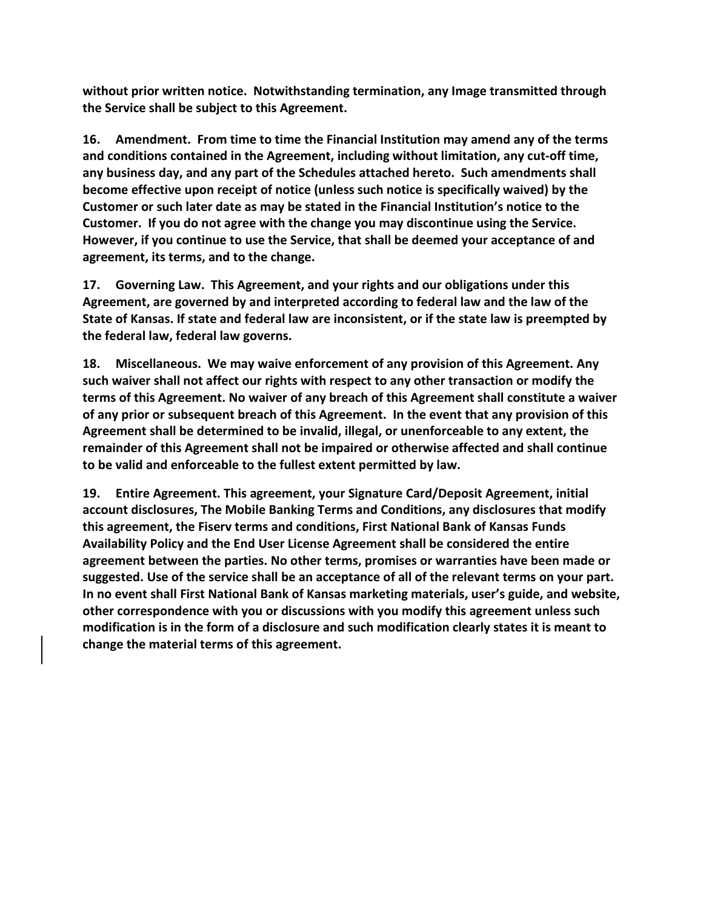**without prior written notice. Notwithstanding termination, any Image transmitted through the Service shall be subject to this Agreement.** 

**16. Amendment. From time to time the Financial Institution may amend any of the terms and conditions contained in the Agreement, including without limitation, any cut-off time, any business day, and any part of the Schedules attached hereto. Such amendments shall become effective upon receipt of notice (unless such notice is specifically waived) by the Customer or such later date as may be stated in the Financial Institution's notice to the Customer. If you do not agree with the change you may discontinue using the Service. However, if you continue to use the Service, that shall be deemed your acceptance of and agreement, its terms, and to the change.** 

**17. Governing Law. This Agreement, and your rights and our obligations under this Agreement, are governed by and interpreted according to federal law and the law of the State of Kansas. If state and federal law are inconsistent, or if the state law is preempted by the federal law, federal law governs.** 

**18. Miscellaneous. We may waive enforcement of any provision of this Agreement. Any such waiver shall not affect our rights with respect to any other transaction or modify the terms of this Agreement. No waiver of any breach of this Agreement shall constitute a waiver of any prior or subsequent breach of this Agreement. In the event that any provision of this Agreement shall be determined to be invalid, illegal, or unenforceable to any extent, the remainder of this Agreement shall not be impaired or otherwise affected and shall continue to be valid and enforceable to the fullest extent permitted by law.** 

**19. Entire Agreement. This agreement, your Signature Card/Deposit Agreement, initial account disclosures, The Mobile Banking Terms and Conditions, any disclosures that modify this agreement, the Fiserv terms and conditions, First National Bank of Kansas Funds Availability Policy and the End User License Agreement shall be considered the entire agreement between the parties. No other terms, promises or warranties have been made or suggested. Use of the service shall be an acceptance of all of the relevant terms on your part. In no event shall First National Bank of Kansas marketing materials, user's guide, and website, other correspondence with you or discussions with you modify this agreement unless such modification is in the form of a disclosure and such modification clearly states it is meant to change the material terms of this agreement.**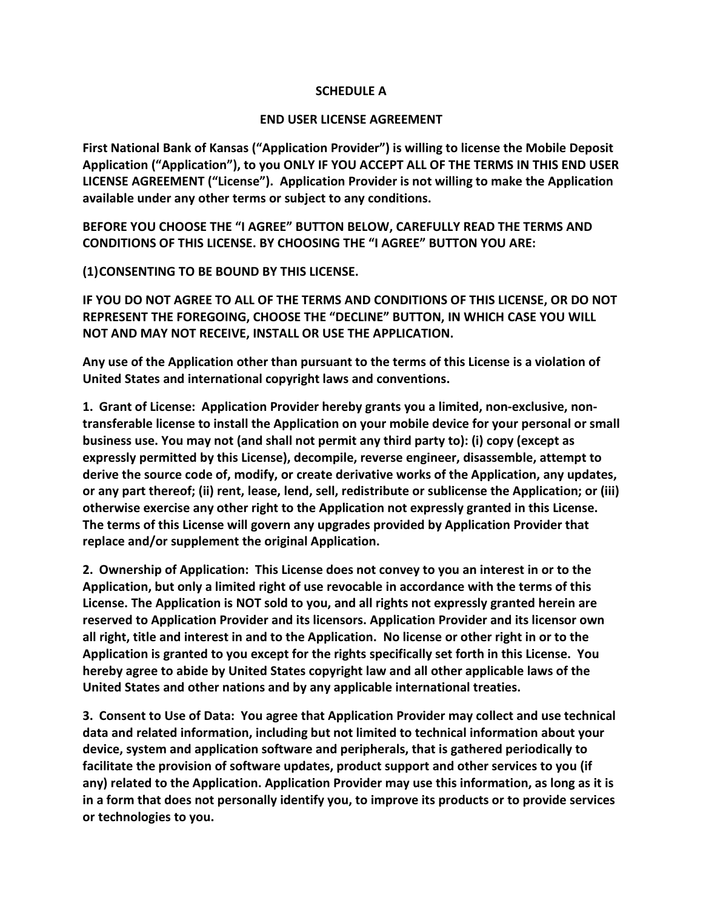# **SCHEDULE A**

# **END USER LICENSE AGREEMENT**

**First National Bank of Kansas ("Application Provider") is willing to license the Mobile Deposit Application ("Application"), to you ONLY IF YOU ACCEPT ALL OF THE TERMS IN THIS END USER LICENSE AGREEMENT ("License"). Application Provider is not willing to make the Application available under any other terms or subject to any conditions.** 

**BEFORE YOU CHOOSE THE "I AGREE" BUTTON BELOW, CAREFULLY READ THE TERMS AND CONDITIONS OF THIS LICENSE. BY CHOOSING THE "I AGREE" BUTTON YOU ARE:** 

**(1)CONSENTING TO BE BOUND BY THIS LICENSE.** 

**IF YOU DO NOT AGREE TO ALL OF THE TERMS AND CONDITIONS OF THIS LICENSE, OR DO NOT REPRESENT THE FOREGOING, CHOOSE THE "DECLINE" BUTTON, IN WHICH CASE YOU WILL NOT AND MAY NOT RECEIVE, INSTALL OR USE THE APPLICATION.** 

**Any use of the Application other than pursuant to the terms of this License is a violation of United States and international copyright laws and conventions.** 

**1. Grant of License: Application Provider hereby grants you a limited, non-exclusive, nontransferable license to install the Application on your mobile device for your personal or small business use. You may not (and shall not permit any third party to): (i) copy (except as expressly permitted by this License), decompile, reverse engineer, disassemble, attempt to derive the source code of, modify, or create derivative works of the Application, any updates, or any part thereof; (ii) rent, lease, lend, sell, redistribute or sublicense the Application; or (iii) otherwise exercise any other right to the Application not expressly granted in this License. The terms of this License will govern any upgrades provided by Application Provider that replace and/or supplement the original Application.** 

**2. Ownership of Application: This License does not convey to you an interest in or to the Application, but only a limited right of use revocable in accordance with the terms of this License. The Application is NOT sold to you, and all rights not expressly granted herein are reserved to Application Provider and its licensors. Application Provider and its licensor own all right, title and interest in and to the Application. No license or other right in or to the Application is granted to you except for the rights specifically set forth in this License. You hereby agree to abide by United States copyright law and all other applicable laws of the United States and other nations and by any applicable international treaties.** 

**3. Consent to Use of Data: You agree that Application Provider may collect and use technical data and related information, including but not limited to technical information about your device, system and application software and peripherals, that is gathered periodically to facilitate the provision of software updates, product support and other services to you (if any) related to the Application. Application Provider may use this information, as long as it is in a form that does not personally identify you, to improve its products or to provide services or technologies to you.**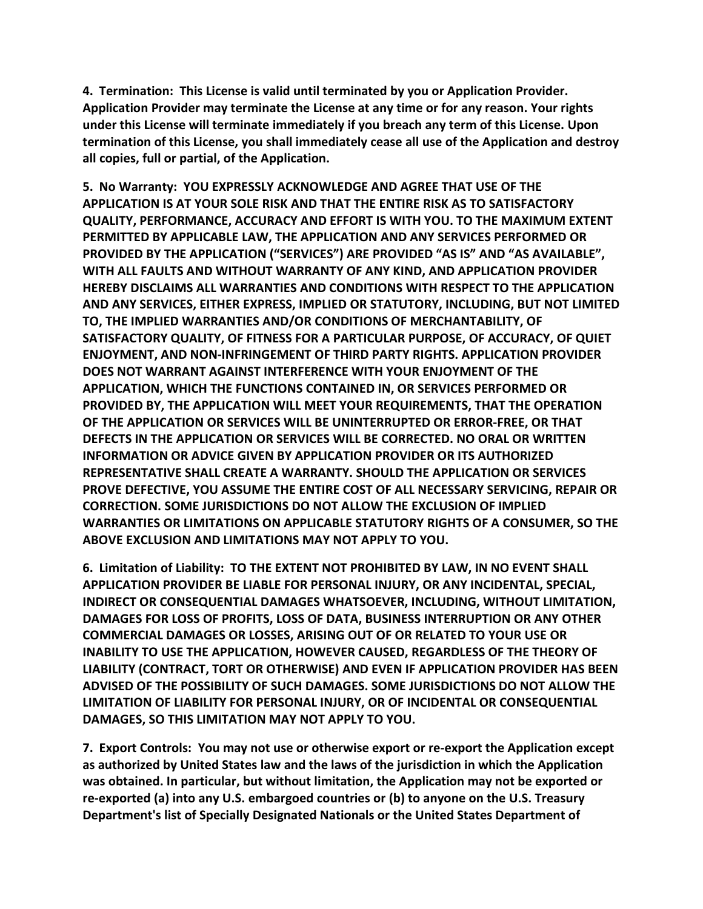**4. Termination: This License is valid until terminated by you or Application Provider. Application Provider may terminate the License at any time or for any reason. Your rights under this License will terminate immediately if you breach any term of this License. Upon termination of this License, you shall immediately cease all use of the Application and destroy all copies, full or partial, of the Application.** 

**5. No Warranty: YOU EXPRESSLY ACKNOWLEDGE AND AGREE THAT USE OF THE APPLICATION IS AT YOUR SOLE RISK AND THAT THE ENTIRE RISK AS TO SATISFACTORY QUALITY, PERFORMANCE, ACCURACY AND EFFORT IS WITH YOU. TO THE MAXIMUM EXTENT PERMITTED BY APPLICABLE LAW, THE APPLICATION AND ANY SERVICES PERFORMED OR PROVIDED BY THE APPLICATION ("SERVICES") ARE PROVIDED "AS IS" AND "AS AVAILABLE", WITH ALL FAULTS AND WITHOUT WARRANTY OF ANY KIND, AND APPLICATION PROVIDER HEREBY DISCLAIMS ALL WARRANTIES AND CONDITIONS WITH RESPECT TO THE APPLICATION AND ANY SERVICES, EITHER EXPRESS, IMPLIED OR STATUTORY, INCLUDING, BUT NOT LIMITED TO, THE IMPLIED WARRANTIES AND/OR CONDITIONS OF MERCHANTABILITY, OF SATISFACTORY QUALITY, OF FITNESS FOR A PARTICULAR PURPOSE, OF ACCURACY, OF QUIET ENJOYMENT, AND NON-INFRINGEMENT OF THIRD PARTY RIGHTS. APPLICATION PROVIDER DOES NOT WARRANT AGAINST INTERFERENCE WITH YOUR ENJOYMENT OF THE APPLICATION, WHICH THE FUNCTIONS CONTAINED IN, OR SERVICES PERFORMED OR PROVIDED BY, THE APPLICATION WILL MEET YOUR REQUIREMENTS, THAT THE OPERATION OF THE APPLICATION OR SERVICES WILL BE UNINTERRUPTED OR ERROR-FREE, OR THAT DEFECTS IN THE APPLICATION OR SERVICES WILL BE CORRECTED. NO ORAL OR WRITTEN INFORMATION OR ADVICE GIVEN BY APPLICATION PROVIDER OR ITS AUTHORIZED REPRESENTATIVE SHALL CREATE A WARRANTY. SHOULD THE APPLICATION OR SERVICES PROVE DEFECTIVE, YOU ASSUME THE ENTIRE COST OF ALL NECESSARY SERVICING, REPAIR OR CORRECTION. SOME JURISDICTIONS DO NOT ALLOW THE EXCLUSION OF IMPLIED WARRANTIES OR LIMITATIONS ON APPLICABLE STATUTORY RIGHTS OF A CONSUMER, SO THE ABOVE EXCLUSION AND LIMITATIONS MAY NOT APPLY TO YOU.** 

**6. Limitation of Liability: TO THE EXTENT NOT PROHIBITED BY LAW, IN NO EVENT SHALL APPLICATION PROVIDER BE LIABLE FOR PERSONAL INJURY, OR ANY INCIDENTAL, SPECIAL, INDIRECT OR CONSEQUENTIAL DAMAGES WHATSOEVER, INCLUDING, WITHOUT LIMITATION, DAMAGES FOR LOSS OF PROFITS, LOSS OF DATA, BUSINESS INTERRUPTION OR ANY OTHER COMMERCIAL DAMAGES OR LOSSES, ARISING OUT OF OR RELATED TO YOUR USE OR INABILITY TO USE THE APPLICATION, HOWEVER CAUSED, REGARDLESS OF THE THEORY OF LIABILITY (CONTRACT, TORT OR OTHERWISE) AND EVEN IF APPLICATION PROVIDER HAS BEEN ADVISED OF THE POSSIBILITY OF SUCH DAMAGES. SOME JURISDICTIONS DO NOT ALLOW THE LIMITATION OF LIABILITY FOR PERSONAL INJURY, OR OF INCIDENTAL OR CONSEQUENTIAL DAMAGES, SO THIS LIMITATION MAY NOT APPLY TO YOU.** 

**7. Export Controls: You may not use or otherwise export or re-export the Application except as authorized by United States law and the laws of the jurisdiction in which the Application was obtained. In particular, but without limitation, the Application may not be exported or re-exported (a) into any U.S. embargoed countries or (b) to anyone on the U.S. Treasury Department's list of Specially Designated Nationals or the United States Department of**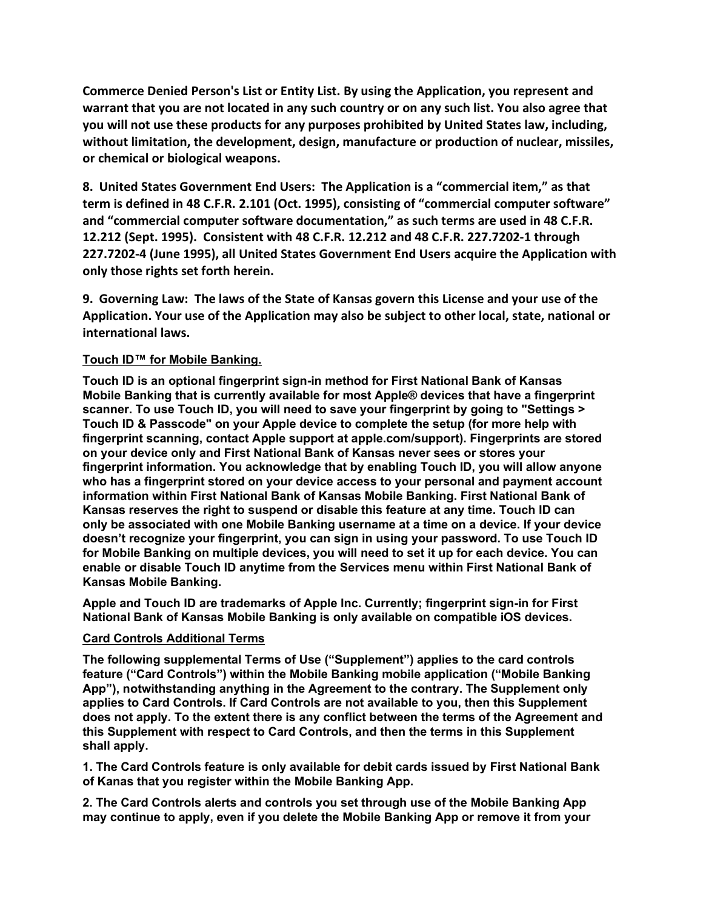**Commerce Denied Person's List or Entity List. By using the Application, you represent and warrant that you are not located in any such country or on any such list. You also agree that you will not use these products for any purposes prohibited by United States law, including, without limitation, the development, design, manufacture or production of nuclear, missiles, or chemical or biological weapons.** 

**8. United States Government End Users: The Application is a "commercial item," as that term is defined in 48 C.F.R. 2.101 (Oct. 1995), consisting of "commercial computer software" and "commercial computer software documentation," as such terms are used in 48 C.F.R. 12.212 (Sept. 1995). Consistent with 48 C.F.R. 12.212 and 48 C.F.R. 227.7202-1 through 227.7202-4 (June 1995), all United States Government End Users acquire the Application with only those rights set forth herein.** 

**9. Governing Law: The laws of the State of Kansas govern this License and your use of the Application. Your use of the Application may also be subject to other local, state, national or international laws.**

# **Touch ID™ for Mobile Banking.**

**Touch ID is an optional fingerprint sign-in method for First National Bank of Kansas Mobile Banking that is currently available for most Apple® devices that have a fingerprint scanner. To use Touch ID, you will need to save your fingerprint by going to "Settings > Touch ID & Passcode" on your Apple device to complete the setup (for more help with fingerprint scanning, contact Apple support at apple.com/support). Fingerprints are stored on your device only and First National Bank of Kansas never sees or stores your fingerprint information. You acknowledge that by enabling Touch ID, you will allow anyone who has a fingerprint stored on your device access to your personal and payment account information within First National Bank of Kansas Mobile Banking. First National Bank of Kansas reserves the right to suspend or disable this feature at any time. Touch ID can only be associated with one Mobile Banking username at a time on a device. If your device doesn't recognize your fingerprint, you can sign in using your password. To use Touch ID for Mobile Banking on multiple devices, you will need to set it up for each device. You can enable or disable Touch ID anytime from the Services menu within First National Bank of Kansas Mobile Banking.**

**Apple and Touch ID are trademarks of Apple Inc. Currently; fingerprint sign-in for First National Bank of Kansas Mobile Banking is only available on compatible iOS devices.**

#### **Card Controls Additional Terms**

**The following supplemental Terms of Use ("Supplement") applies to the card controls feature ("Card Controls") within the Mobile Banking mobile application ("Mobile Banking App"), notwithstanding anything in the Agreement to the contrary. The Supplement only applies to Card Controls. If Card Controls are not available to you, then this Supplement does not apply. To the extent there is any conflict between the terms of the Agreement and this Supplement with respect to Card Controls, and then the terms in this Supplement shall apply.**

**1. The Card Controls feature is only available for debit cards issued by First National Bank of Kanas that you register within the Mobile Banking App.**

**2. The Card Controls alerts and controls you set through use of the Mobile Banking App may continue to apply, even if you delete the Mobile Banking App or remove it from your**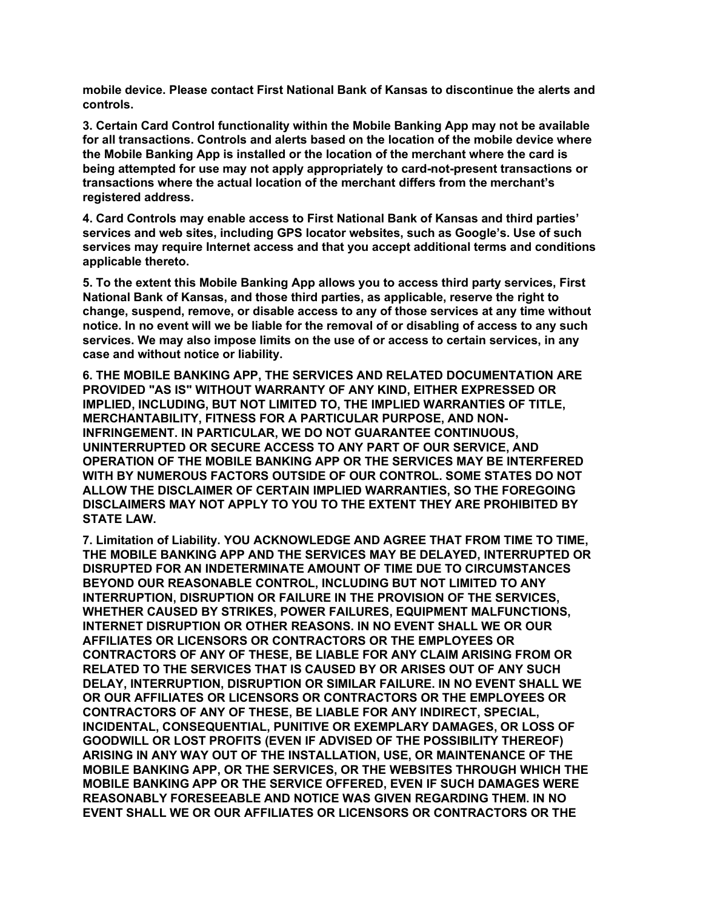**mobile device. Please contact First National Bank of Kansas to discontinue the alerts and controls.**

**3. Certain Card Control functionality within the Mobile Banking App may not be available for all transactions. Controls and alerts based on the location of the mobile device where the Mobile Banking App is installed or the location of the merchant where the card is being attempted for use may not apply appropriately to card-not-present transactions or transactions where the actual location of the merchant differs from the merchant's registered address.**

**4. Card Controls may enable access to First National Bank of Kansas and third parties' services and web sites, including GPS locator websites, such as Google's. Use of such services may require Internet access and that you accept additional terms and conditions applicable thereto.**

**5. To the extent this Mobile Banking App allows you to access third party services, First National Bank of Kansas, and those third parties, as applicable, reserve the right to change, suspend, remove, or disable access to any of those services at any time without notice. In no event will we be liable for the removal of or disabling of access to any such services. We may also impose limits on the use of or access to certain services, in any case and without notice or liability.**

**6. THE MOBILE BANKING APP, THE SERVICES AND RELATED DOCUMENTATION ARE PROVIDED "AS IS" WITHOUT WARRANTY OF ANY KIND, EITHER EXPRESSED OR IMPLIED, INCLUDING, BUT NOT LIMITED TO, THE IMPLIED WARRANTIES OF TITLE, MERCHANTABILITY, FITNESS FOR A PARTICULAR PURPOSE, AND NON-INFRINGEMENT. IN PARTICULAR, WE DO NOT GUARANTEE CONTINUOUS, UNINTERRUPTED OR SECURE ACCESS TO ANY PART OF OUR SERVICE, AND OPERATION OF THE MOBILE BANKING APP OR THE SERVICES MAY BE INTERFERED WITH BY NUMEROUS FACTORS OUTSIDE OF OUR CONTROL. SOME STATES DO NOT ALLOW THE DISCLAIMER OF CERTAIN IMPLIED WARRANTIES, SO THE FOREGOING DISCLAIMERS MAY NOT APPLY TO YOU TO THE EXTENT THEY ARE PROHIBITED BY STATE LAW.**

**7. Limitation of Liability. YOU ACKNOWLEDGE AND AGREE THAT FROM TIME TO TIME, THE MOBILE BANKING APP AND THE SERVICES MAY BE DELAYED, INTERRUPTED OR DISRUPTED FOR AN INDETERMINATE AMOUNT OF TIME DUE TO CIRCUMSTANCES BEYOND OUR REASONABLE CONTROL, INCLUDING BUT NOT LIMITED TO ANY INTERRUPTION, DISRUPTION OR FAILURE IN THE PROVISION OF THE SERVICES, WHETHER CAUSED BY STRIKES, POWER FAILURES, EQUIPMENT MALFUNCTIONS, INTERNET DISRUPTION OR OTHER REASONS. IN NO EVENT SHALL WE OR OUR AFFILIATES OR LICENSORS OR CONTRACTORS OR THE EMPLOYEES OR CONTRACTORS OF ANY OF THESE, BE LIABLE FOR ANY CLAIM ARISING FROM OR RELATED TO THE SERVICES THAT IS CAUSED BY OR ARISES OUT OF ANY SUCH DELAY, INTERRUPTION, DISRUPTION OR SIMILAR FAILURE. IN NO EVENT SHALL WE OR OUR AFFILIATES OR LICENSORS OR CONTRACTORS OR THE EMPLOYEES OR CONTRACTORS OF ANY OF THESE, BE LIABLE FOR ANY INDIRECT, SPECIAL, INCIDENTAL, CONSEQUENTIAL, PUNITIVE OR EXEMPLARY DAMAGES, OR LOSS OF GOODWILL OR LOST PROFITS (EVEN IF ADVISED OF THE POSSIBILITY THEREOF) ARISING IN ANY WAY OUT OF THE INSTALLATION, USE, OR MAINTENANCE OF THE MOBILE BANKING APP, OR THE SERVICES, OR THE WEBSITES THROUGH WHICH THE MOBILE BANKING APP OR THE SERVICE OFFERED, EVEN IF SUCH DAMAGES WERE REASONABLY FORESEEABLE AND NOTICE WAS GIVEN REGARDING THEM. IN NO EVENT SHALL WE OR OUR AFFILIATES OR LICENSORS OR CONTRACTORS OR THE**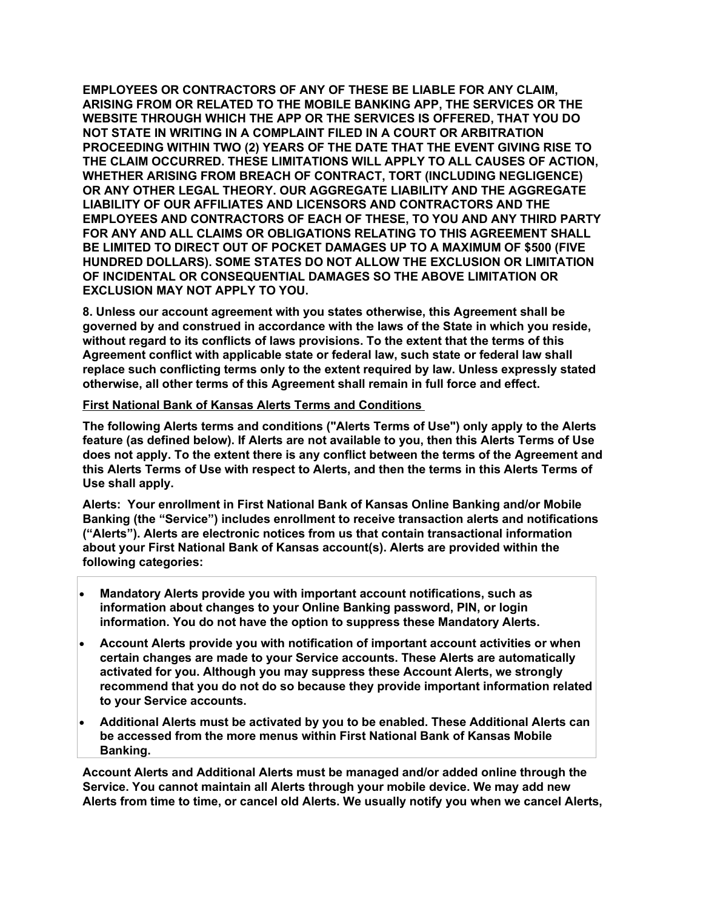**EMPLOYEES OR CONTRACTORS OF ANY OF THESE BE LIABLE FOR ANY CLAIM, ARISING FROM OR RELATED TO THE MOBILE BANKING APP, THE SERVICES OR THE WEBSITE THROUGH WHICH THE APP OR THE SERVICES IS OFFERED, THAT YOU DO NOT STATE IN WRITING IN A COMPLAINT FILED IN A COURT OR ARBITRATION PROCEEDING WITHIN TWO (2) YEARS OF THE DATE THAT THE EVENT GIVING RISE TO THE CLAIM OCCURRED. THESE LIMITATIONS WILL APPLY TO ALL CAUSES OF ACTION, WHETHER ARISING FROM BREACH OF CONTRACT, TORT (INCLUDING NEGLIGENCE) OR ANY OTHER LEGAL THEORY. OUR AGGREGATE LIABILITY AND THE AGGREGATE LIABILITY OF OUR AFFILIATES AND LICENSORS AND CONTRACTORS AND THE EMPLOYEES AND CONTRACTORS OF EACH OF THESE, TO YOU AND ANY THIRD PARTY FOR ANY AND ALL CLAIMS OR OBLIGATIONS RELATING TO THIS AGREEMENT SHALL BE LIMITED TO DIRECT OUT OF POCKET DAMAGES UP TO A MAXIMUM OF \$500 (FIVE HUNDRED DOLLARS). SOME STATES DO NOT ALLOW THE EXCLUSION OR LIMITATION OF INCIDENTAL OR CONSEQUENTIAL DAMAGES SO THE ABOVE LIMITATION OR EXCLUSION MAY NOT APPLY TO YOU.**

**8. Unless our account agreement with you states otherwise, this Agreement shall be governed by and construed in accordance with the laws of the State in which you reside, without regard to its conflicts of laws provisions. To the extent that the terms of this Agreement conflict with applicable state or federal law, such state or federal law shall replace such conflicting terms only to the extent required by law. Unless expressly stated otherwise, all other terms of this Agreement shall remain in full force and effect.** 

#### **First National Bank of Kansas Alerts Terms and Conditions**

**The following Alerts terms and conditions ("Alerts Terms of Use") only apply to the Alerts feature (as defined below). If Alerts are not available to you, then this Alerts Terms of Use does not apply. To the extent there is any conflict between the terms of the Agreement and this Alerts Terms of Use with respect to Alerts, and then the terms in this Alerts Terms of Use shall apply.**

**Alerts: Your enrollment in First National Bank of Kansas Online Banking and/or Mobile Banking (the "Service") includes enrollment to receive transaction alerts and notifications ("Alerts"). Alerts are electronic notices from us that contain transactional information about your First National Bank of Kansas account(s). Alerts are provided within the following categories:** 

- **Mandatory Alerts provide you with important account notifications, such as information about changes to your Online Banking password, PIN, or login information. You do not have the option to suppress these Mandatory Alerts.**
- **Account Alerts provide you with notification of important account activities or when certain changes are made to your Service accounts. These Alerts are automatically activated for you. Although you may suppress these Account Alerts, we strongly recommend that you do not do so because they provide important information related to your Service accounts.**
- **Additional Alerts must be activated by you to be enabled. These Additional Alerts can be accessed from the more menus within First National Bank of Kansas Mobile Banking.**

**Account Alerts and Additional Alerts must be managed and/or added online through the Service. You cannot maintain all Alerts through your mobile device. We may add new Alerts from time to time, or cancel old Alerts. We usually notify you when we cancel Alerts,**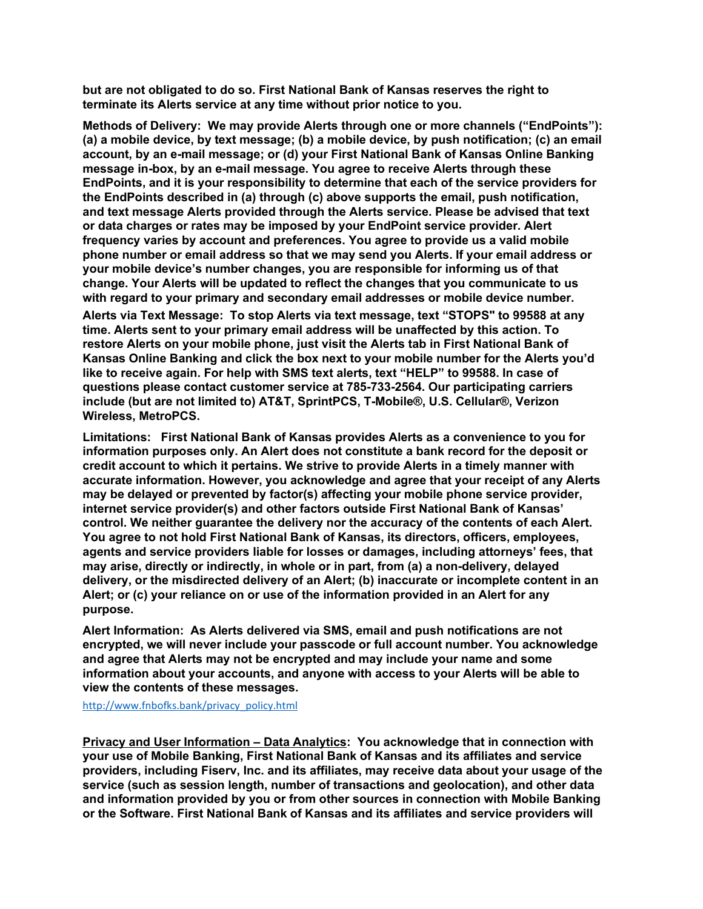**but are not obligated to do so. First National Bank of Kansas reserves the right to terminate its Alerts service at any time without prior notice to you.**

**Methods of Delivery: We may provide Alerts through one or more channels ("EndPoints"): (a) a mobile device, by text message; (b) a mobile device, by push notification; (c) an email account, by an e-mail message; or (d) your First National Bank of Kansas Online Banking message in-box, by an e-mail message. You agree to receive Alerts through these EndPoints, and it is your responsibility to determine that each of the service providers for the EndPoints described in (a) through (c) above supports the email, push notification, and text message Alerts provided through the Alerts service. Please be advised that text or data charges or rates may be imposed by your EndPoint service provider. Alert frequency varies by account and preferences. You agree to provide us a valid mobile phone number or email address so that we may send you Alerts. If your email address or your mobile device's number changes, you are responsible for informing us of that change. Your Alerts will be updated to reflect the changes that you communicate to us with regard to your primary and secondary email addresses or mobile device number. Alerts via Text Message: To stop Alerts via text message, text "STOPS" to 99588 at any time. Alerts sent to your primary email address will be unaffected by this action. To restore Alerts on your mobile phone, just visit the Alerts tab in First National Bank of Kansas Online Banking and click the box next to your mobile number for the Alerts you'd like to receive again. For help with SMS text alerts, text "HELP" to 99588. In case of questions please contact customer service at 785-733-2564. Our participating carriers include (but are not limited to) AT&T, SprintPCS, T-Mobile®, U.S. Cellular®, Verizon Wireless, MetroPCS.**

**Limitations: First National Bank of Kansas provides Alerts as a convenience to you for information purposes only. An Alert does not constitute a bank record for the deposit or credit account to which it pertains. We strive to provide Alerts in a timely manner with accurate information. However, you acknowledge and agree that your receipt of any Alerts may be delayed or prevented by factor(s) affecting your mobile phone service provider, internet service provider(s) and other factors outside First National Bank of Kansas' control. We neither guarantee the delivery nor the accuracy of the contents of each Alert. You agree to not hold First National Bank of Kansas, its directors, officers, employees, agents and service providers liable for losses or damages, including attorneys' fees, that may arise, directly or indirectly, in whole or in part, from (a) a non-delivery, delayed delivery, or the misdirected delivery of an Alert; (b) inaccurate or incomplete content in an Alert; or (c) your reliance on or use of the information provided in an Alert for any purpose.**

**Alert Information: As Alerts delivered via SMS, email and push notifications are not encrypted, we will never include your passcode or full account number. You acknowledge and agree that Alerts may not be encrypted and may include your name and some information about your accounts, and anyone with access to your Alerts will be able to view the contents of these messages.** 

[http://www.fnbofks.bank/privacy\\_policy.html](http://www.fnbofks.com/privacy_policy.html)

**Privacy and User Information – Data Analytics: You acknowledge that in connection with your use of Mobile Banking, First National Bank of Kansas and its affiliates and service providers, including Fiserv, Inc. and its affiliates, may receive data about your usage of the service (such as session length, number of transactions and geolocation), and other data and information provided by you or from other sources in connection with Mobile Banking or the Software. First National Bank of Kansas and its affiliates and service providers will**